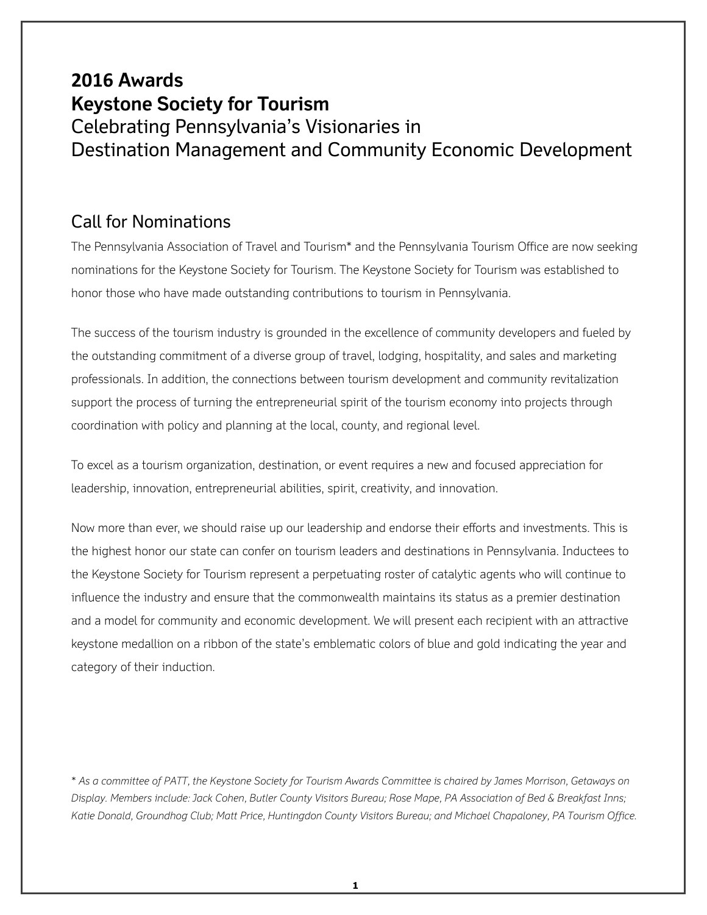## **2016 Awards Keystone Society for Tourism** Celebrating Pennsylvania's Visionaries in Destination Management and Community Economic Development

### Call for Nominations

The Pennsylvania Association of Travel and Tourism\* and the Pennsylvania Tourism Office are now seeking nominations for the Keystone Society for Tourism. The Keystone Society for Tourism was established to honor those who have made outstanding contributions to tourism in Pennsylvania.

The success of the tourism industry is grounded in the excellence of community developers and fueled by the outstanding commitment of a diverse group of travel, lodging, hospitality, and sales and marketing professionals. In addition, the connections between tourism development and community revitalization support the process of turning the entrepreneurial spirit of the tourism economy into projects through coordination with policy and planning at the local, county, and regional level.

To excel as a tourism organization, destination, or event requires a new and focused appreciation for leadership, innovation, entrepreneurial abilities, spirit, creativity, and innovation.

Now more than ever, we should raise up our leadership and endorse their efforts and investments. This is the highest honor our state can confer on tourism leaders and destinations in Pennsylvania. Inductees to the Keystone Society for Tourism represent a perpetuating roster of catalytic agents who will continue to influence the industry and ensure that the commonwealth maintains its status as a premier destination and a model for community and economic development. We will present each recipient with an attractive keystone medallion on a ribbon of the state's emblematic colors of blue and gold indicating the year and category of their induction.

*\* As a committee of PATT, the Keystone Society for Tourism Awards Committee is chaired by James Morrison, Getaways on Display. Members include: Jack Cohen, Butler County Visitors Bureau; Rose Mape, PA Association of Bed & Breakfast Inns; Katie Donald, Groundhog Club; Matt Price, Huntingdon County Visitors Bureau; and Michael Chapaloney, PA Tourism Office.*

**1**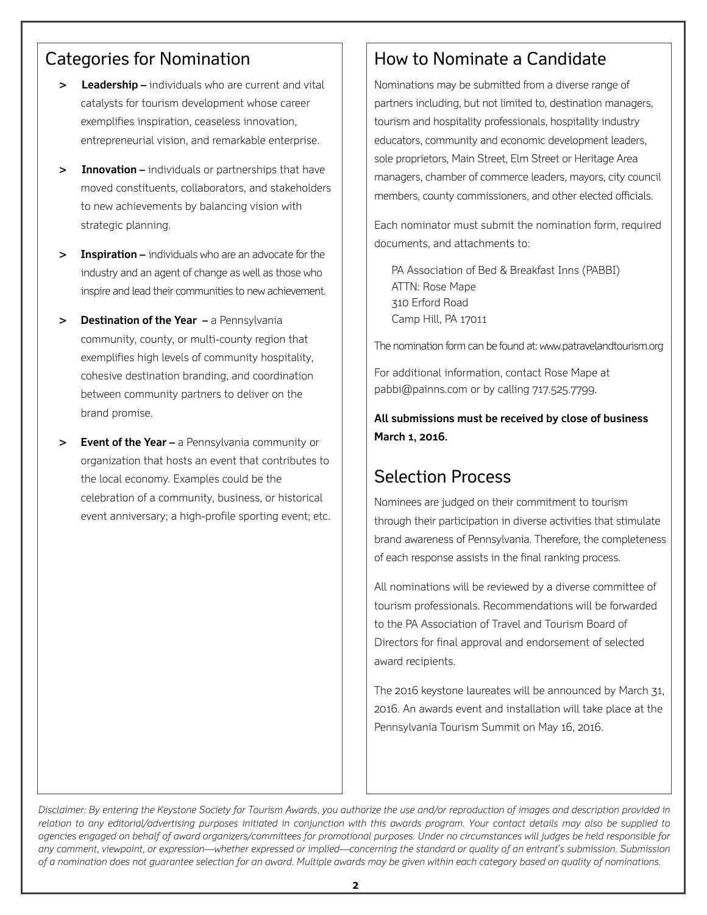## Categories for Nomination

- **Leadership –** individuals who are current and vital catalysts for tourism development whose career exemplifies inspiration, ceaseless innovation, entrepreneurial vision, and remarkable enterprise.
- **> Innovation –** individuals or partnerships that have moved constituents, collaborators, and stakeholders to new achievements by balancing vision with strategic planning.
- **> Inspiration –** individuals who are an advocate for the industry and an agent of change as well as those who inspire and lead their communities to new achievement.
- **> Destination of the Year –** a Pennsylvania community, county, or multi-county region that exemplifies high levels of community hospitality, cohesive destination branding, and coordination between community partners to deliver on the brand promise.
- **> Event of the Year –** a Pennsylvania community or organization that hosts an event that contributes to the local economy. Examples could be the celebration of a community, business, or historical event anniversary; a high-profile sporting event; etc.

### How to Nominate a Candidate

Nominations may be submitted from a diverse range of partners including, but not limited to, destination managers, tourism and hospitality professionals, hospitality industry educators, community and economic development leaders, sole proprietors, Main Street, Elm Street or Heritage Area managers, chamber of commerce leaders, mayors, city council members, county commissioners, and other elected officials.

Each nominator must submit the nomination form, required documents, and attachments to:

 PA Association of Bed & Breakfast Inns (PABBI) ATTN: Rose Mape 310 Erford Road Camp Hill, PA 17011

The nomination form can be found at: www.patravelandtourism.org

For additional information, contact Rose Mape at pabbi@painns.com or by calling 717.525.7799.

**All submissions must be received by close of business March 1, 2016.**

## Selection Process

Nominees are judged on their commitment to tourism through their participation in diverse activities that stimulate brand awareness of Pennsylvania. Therefore, the completeness of each response assists in the final ranking process.

All nominations will be reviewed by a diverse committee of tourism professionals. Recommendations will be forwarded to the PA Association of Travel and Tourism Board of Directors for final approval and endorsement of selected award recipients.

The 2016 keystone laureates will be announced by March 31, 2016. An awards event and installation will take place at the Pennsylvania Tourism Summit on May 16, 2016.

*Disclaimer: By entering the Keystone Society for Tourism Awards, you authorize the use and/or reproduction of images and description provided in relation to any editorial/advertising purposes initiated in conjunction with this awards program. Your contact details may also be supplied to agencies engaged on behalf of award organizers/committees for promotional purposes. Under no circumstances will judges be held responsible for any comment, viewpoint, or expression—whether expressed or implied—concerning the standard or quality of an entrant's submission. Submission of a nomination does not guarantee selection for an award. Multiple awards may be given within each category based on quality of nominations.*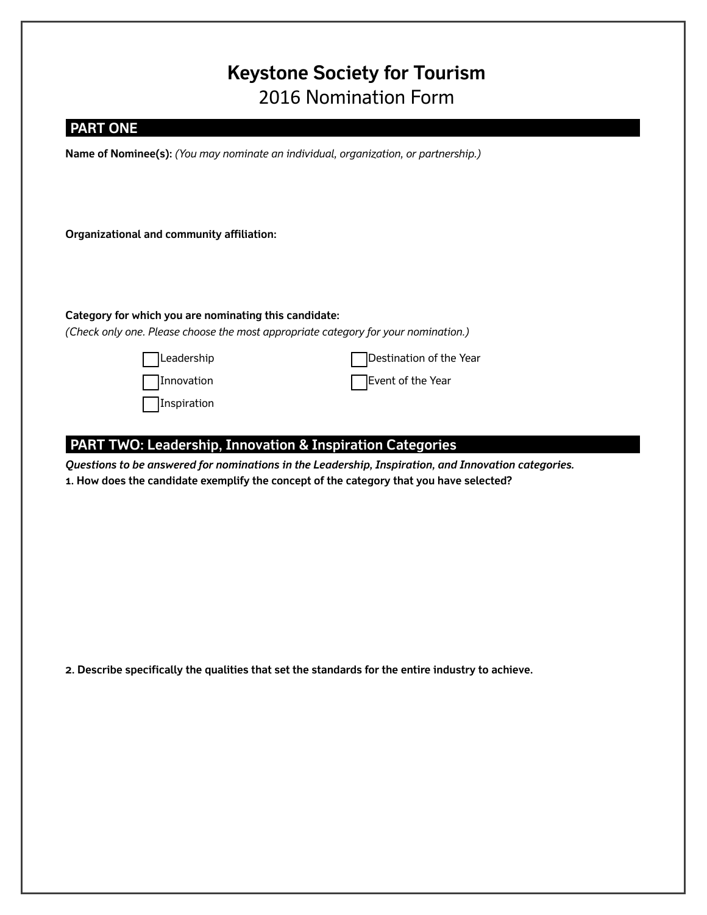# **Keystone Society for Tourism** 2016 Nomination Form

| <b>PART ONE</b>                                                                                     |                         |
|-----------------------------------------------------------------------------------------------------|-------------------------|
| Name of Nominee(s): (You may nominate an individual, organization, or partnership.)                 |                         |
|                                                                                                     |                         |
|                                                                                                     |                         |
| Organizational and community affiliation:                                                           |                         |
|                                                                                                     |                         |
|                                                                                                     |                         |
|                                                                                                     |                         |
| Category for which you are nominating this candidate:                                               |                         |
| (Check only one. Please choose the most appropriate category for your nomination.)                  |                         |
| Leadership                                                                                          | Destination of the Year |
| Innovation                                                                                          | Event of the Year       |
| Inspiration                                                                                         |                         |
|                                                                                                     |                         |
| <b>PART TWO: Leadership, Innovation &amp; Inspiration Categories</b>                                |                         |
| Questions to be answered for nominations in the Leadership, Inspiration, and Innovation categories. |                         |

**1. How does the candidate exemplify the concept of the category that you have selected?**

**2. Describe specifically the qualities that set the standards for the entire industry to achieve.**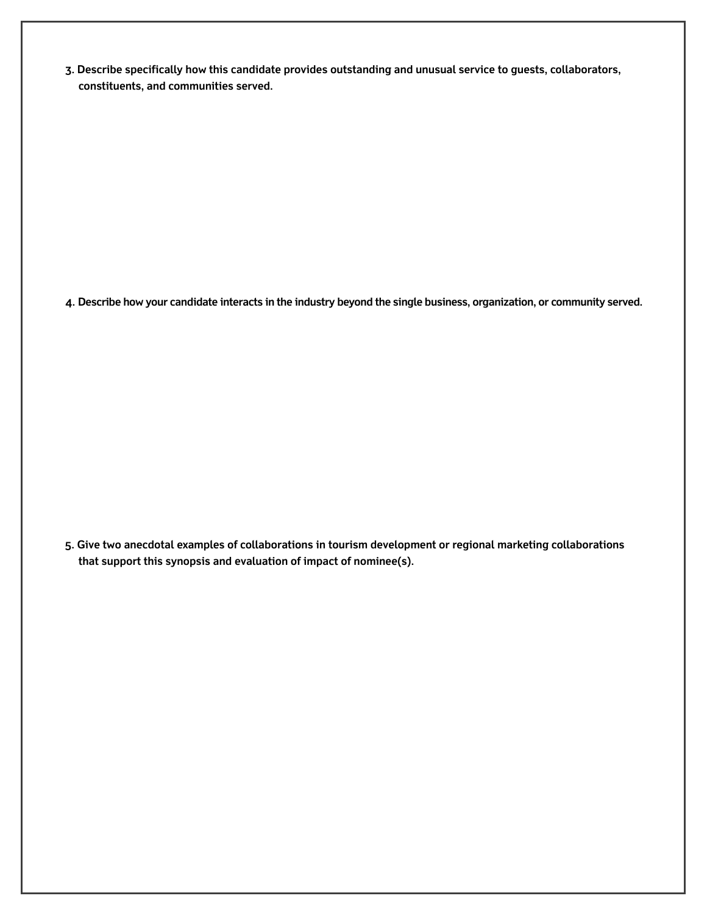**3. Describe specifically how this candidate provides outstanding and unusual service to guests, collaborators, constituents, and communities served.**

**4. Describe how your candidate interacts in the industry beyond the single business, organization, or community served.**

**5. Give two anecdotal examples of collaborations in tourism development or regional marketing collaborations that support this synopsis and evaluation of impact of nominee(s).**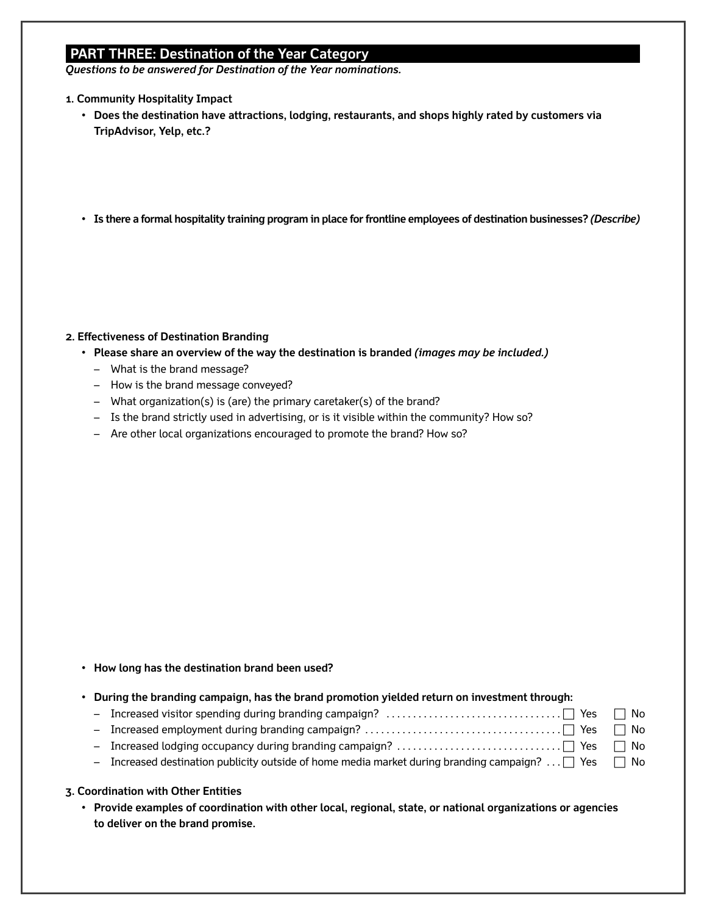### **PART THREE: Destination of the Year Category**

*Questions to be answered for Destination of the Year nominations.*

- **1. Community Hospitality Impact**
	- **Does the destination have attractions, lodging, restaurants, and shops highly rated by customers via TripAdvisor, Yelp, etc.?**
	- **Is there a formal hospitality training program in place for frontline employees of destination businesses?** *(Describe)*

#### **2. Effectiveness of Destination Branding**

- **Please share an overview of the way the destination is branded** *(images may be included.)*
	- What is the brand message?
	- How is the brand message conveyed?
	- What organization(s) is (are) the primary caretaker(s) of the brand?
	- Is the brand strictly used in advertising, or is it visible within the community? How so?
	- Are other local organizations encouraged to promote the brand? How so?

• **How long has the destination brand been used?**

| • During the branding campaign, has the brand promotion yielded return on investment through:                 |  |
|---------------------------------------------------------------------------------------------------------------|--|
|                                                                                                               |  |
|                                                                                                               |  |
|                                                                                                               |  |
| - Increased destination publicity outside of home media market during branding campaign? $\Box$ Yes $\Box$ No |  |
|                                                                                                               |  |

#### **3. Coordination with Other Entities**

• **Provide examples of coordination with other local, regional, state, or national organizations or agencies to deliver on the brand promise.**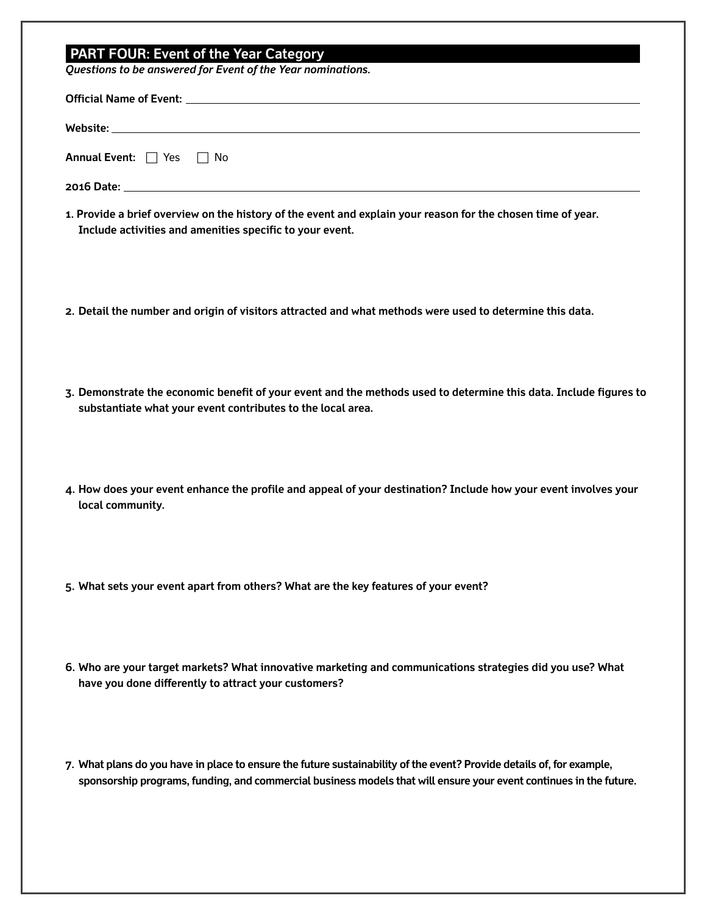## **PART FOUR: Event of the Year Category**

*Questions to be answered for Event of the Year nominations.*

| Questions to be answered for Event of the Year nominations.                                                                                                                                                                                 |
|---------------------------------------------------------------------------------------------------------------------------------------------------------------------------------------------------------------------------------------------|
|                                                                                                                                                                                                                                             |
| Website: www.astronomia.com/website/web/2010/astronomial/astronomial/astronomial/astronomial/astronomial/astro                                                                                                                              |
| <b>Annual Event:</b> $\Box$ Yes $\Box$ No                                                                                                                                                                                                   |
|                                                                                                                                                                                                                                             |
| 1. Provide a brief overview on the history of the event and explain your reason for the chosen time of year.<br>Include activities and amenities specific to your event.                                                                    |
| 2. Detail the number and origin of visitors attracted and what methods were used to determine this data.                                                                                                                                    |
| 3. Demonstrate the economic benefit of your event and the methods used to determine this data. Include figures to<br>substantiate what your event contributes to the local area.                                                            |
| 4. How does your event enhance the profile and appeal of your destination? Include how your event involves your<br>local community.                                                                                                         |
| 5. What sets your event apart from others? What are the key features of your event?                                                                                                                                                         |
| 6. Who are your target markets? What innovative marketing and communications strategies did you use? What<br>have you done differently to attract your customers?                                                                           |
| 7. What plans do you have in place to ensure the future sustainability of the event? Provide details of, for example,<br>sponsorship programs, funding, and commercial business models that will ensure your event continues in the future. |